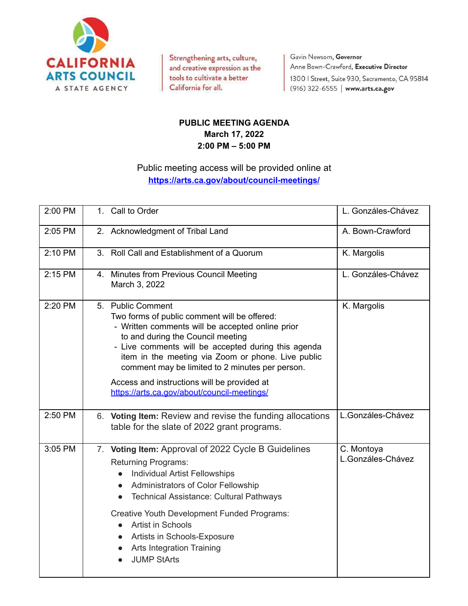

Strengthening arts, culture, and creative expression as the tools to cultivate a better California for all.

Gavin Newsom, Governor Anne Bown-Crawford, Executive Director 1300 | Street, Suite 930, Sacramento, CA 95814 (916) 322-6555 | www.arts.ca.gov

## **PUBLIC MEETING AGENDA March 17, 2022 2:00 PM – 5:00 PM**

## Public meeting access will be provided online at **<https://arts.ca.gov/about/council-meetings/>**

| 2:00 PM |    | 1. Call to Order                                                                                                                                                                                                                                                                                                                                                                                                                                | L. Gonzáles-Chávez              |
|---------|----|-------------------------------------------------------------------------------------------------------------------------------------------------------------------------------------------------------------------------------------------------------------------------------------------------------------------------------------------------------------------------------------------------------------------------------------------------|---------------------------------|
| 2:05 PM |    | 2. Acknowledgment of Tribal Land                                                                                                                                                                                                                                                                                                                                                                                                                | A. Bown-Crawford                |
| 2:10 PM |    | 3. Roll Call and Establishment of a Quorum                                                                                                                                                                                                                                                                                                                                                                                                      | K. Margolis                     |
| 2:15 PM |    | 4. Minutes from Previous Council Meeting<br>March 3, 2022                                                                                                                                                                                                                                                                                                                                                                                       | L. Gonzáles-Chávez              |
| 2:20 PM | 5. | <b>Public Comment</b><br>Two forms of public comment will be offered:<br>- Written comments will be accepted online prior<br>to and during the Council meeting<br>- Live comments will be accepted during this agenda<br>item in the meeting via Zoom or phone. Live public<br>comment may be limited to 2 minutes per person.<br>Access and instructions will be provided at<br>https://arts.ca.gov/about/council-meetings/                    | K. Margolis                     |
| 2:50 PM |    | 6. Voting Item: Review and revise the funding allocations<br>table for the slate of 2022 grant programs.                                                                                                                                                                                                                                                                                                                                        | L.Gonzáles-Chávez               |
| 3:05 PM |    | 7. Voting Item: Approval of 2022 Cycle B Guidelines<br><b>Returning Programs:</b><br><b>Individual Artist Fellowships</b><br>Administrators of Color Fellowship<br>$\bullet$<br><b>Technical Assistance: Cultural Pathways</b><br>$\bullet$<br>Creative Youth Development Funded Programs:<br>Artist in Schools<br>$\bullet$<br>Artists in Schools-Exposure<br>$\bullet$<br><b>Arts Integration Training</b><br>$\bullet$<br><b>JUMP StArts</b> | C. Montoya<br>L.Gonzáles-Chávez |